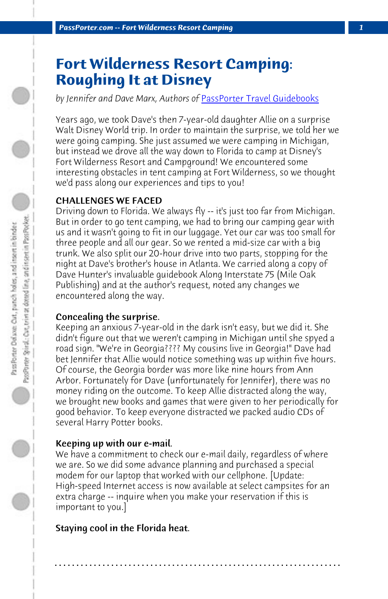*PassPorter.com -- Fort Wilderness Resort Camping 1*

# **Fort Wilderness Resort Camping: Roughing It at Disney**

*by Jennifer and Dave Marx, Authors of* PassPorter Travel Guidebooks

Years ago, we took Dave's then 7-year-old daughter Allie on a surprise Walt Disney World trip. In order to maintain the surprise, we told her we were going camping. She just assumed we were camping in Michigan, but instead we drove all the way down to Florida to camp at Disney's Fort Wilderness Resort and Campground! We encountered some interesting obstacles in tent camping at Fort Wilderness, so we thought we'd pass along our experiences and tips to you!

## CHALLENGES WE FACED

Driving down to Florida. We always fly -- it's just too far from Michigan. But in order to go tent camping, we had to bring our camping gear with us and it wasn't going to fit in our luggage. Yet our car was too small for three people and all our gear. So we rented a mid-size car with a big trunk. We also split our 20-hour drive into two parts, stopping for the night at Dave's brother's house in Atlanta. We carried along a copy of Dave Hunter's invaluable guidebook Along Interstate 75 (Mile Oak Publishing) and at the author's request, noted any changes we encountered along the way.

#### Concealing the surprise.

Keeping an anxious 7-year-old in the dark isn't easy, but we did it. She didn't figure out that we weren't camping in Michigan until she spyed a road sign. "We're in Georgia???? My cousins live in Georgia!" Dave had bet Jennifer that Allie would notice something was up within five hours. Of course, the Georgia border was more like nine hours from Ann Arbor. Fortunately for Dave (unfortunately for Jennifer), there was no money riding on the outcome. To keep Allie distracted along the way, we brought new books and games that were given to her periodically for good behavior. To keep everyone distracted we packed audio CDs of several Harry Potter books.

#### Keeping up with our e-mail.

We have a commitment to check our e-mail daily, regardless of where we are. So we did some advance planning and purchased a special modem for our laptop that worked with our cellphone. [Update: High-speed Internet access is now available at select campsites for an extra charge -- inquire when you make your reservation if this is important to you.]

**. . . . . . . . . . . . . . . . . . . . . . . . . . . . . . . . . . . . . . . . . . . . . . . . . . . . . . . . . . . . . . . . . .**

## Staying cool in the Florida heat.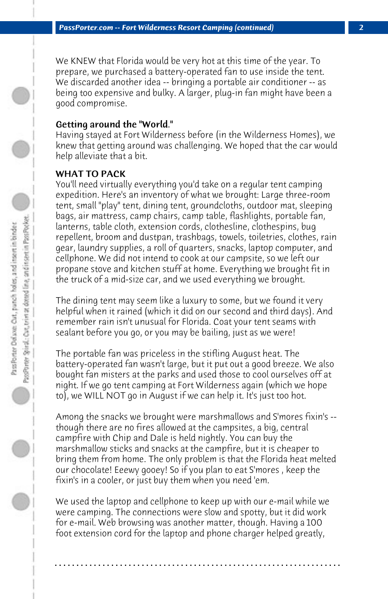We KNEW that Florida would be very hot at this time of the year. To prepare, we purchased a battery-operated fan to use inside the tent. We discarded another idea -- bringing a portable air conditioner -- as being too expensive and bulky. A larger, plug-in fan might have been a good compromise.

#### Getting around the "World."

Having stayed at Fort Wilderness before (in the Wilderness Homes), we knew that getting around was challenging. We hoped that the car would help alleviate that a bit.

# WHAT TO PACK

You'll need virtually everything you'd take on a regular tent camping expedition. Here's an inventory of what we brought: Large three-room tent, small "play" tent, dining tent, groundcloths, outdoor mat, sleeping bags, air mattress, camp chairs, camp table, flashlights, portable fan, lanterns, table cloth, extension cords, clothesline, clothespins, bug repellent, broom and dustpan, trashbags, towels, toiletries, clothes, rain gear, laundry supplies, a roll of quarters, snacks, laptop computer, and cellphone. We did not intend to cook at our campsite, so we left our propane stove and kitchen stuff at home. Everything we brought fit in the truck of a mid-size car, and we used everything we brought.

The dining tent may seem like a luxury to some, but we found it very helpful when it rained (which it did on our second and third days). And remember rain isn't unusual for Florida. Coat your tent seams with sealant before you go, or you may be bailing, just as we were!

The portable fan was priceless in the stifling August heat. The battery-operated fan wasn't large, but it put out a good breeze. We also bought fan misters at the parks and used those to cool ourselves off at night. If we go tent camping at Fort Wilderness again (which we hope to), we WILL NOT go in August if we can help it. It's just too hot.

Among the snacks we brought were marshmallows and S'mores fixin's - though there are no fires allowed at the campsites, a big, central campfire with Chip and Dale is held nightly. You can buy the marshmallow sticks and snacks at the campfire, but it is cheaper to bring them from home. The only problem is that the Florida heat melted our chocolate! Eeewy gooey! So if you plan to eat S'mores , keep the fixin's in a cooler, or just buy them when you need 'em.

We used the laptop and cellphone to keep up with our e-mail while we were camping. The connections were slow and spotty, but it did work for e-mail. Web browsing was another matter, though. Having a 100 foot extension cord for the laptop and phone charger helped greatly,

**. . . . . . . . . . . . . . . . . . . . . . . . . . . . . . . . . . . . . . . . . . . . . . . . . . . . . . . . . . . . . . . . . .**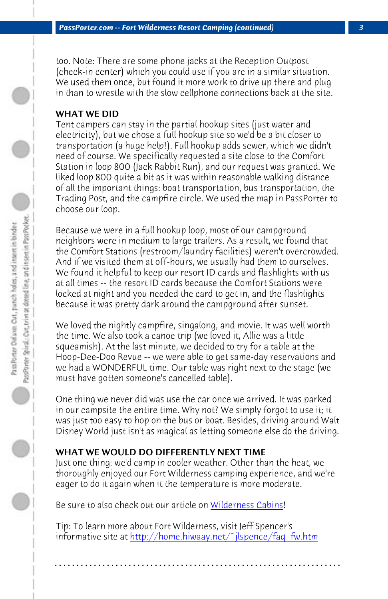*PassPorter.com -- Fort Wilderness Resort Camping (continued) 3*

too. Note: There are some phone jacks at the Reception Outpost (check-in center) which you could use if you are in a similar situation. We used them once, but found it more work to drive up there and plug in than to wrestle with the slow cellphone connections back at the site.

## WHAT WE DID

Tent campers can stay in the partial hookup sites (just water and electricity), but we chose a full hookup site so we'd be a bit closer to transportation (a huge help!). Full hookup adds sewer, which we didn't need of course. We specifically requested a site close to the Comfort Station in loop 800 (Jack Rabbit Run), and our request was granted. We liked loop 800 quite a bit as it was within reasonable walking distance of all the important things: boat transportation, bus transportation, the Trading Post, and the campfire circle. We used the map in PassPorter to choose our loop.

Because we were in a full hookup loop, most of our campground neighbors were in medium to large trailers. As a result, we found that the Comfort Stations (restroom/laundry facilities) weren't overcrowded. And if we visited them at off-hours, we usually had them to ourselves. We found it helpful to keep our resort ID cards and flashlights with us at all times -- the resort ID cards because the Comfort Stations were locked at night and you needed the card to get in, and the flashlights because it was pretty dark around the campground after sunset.

We loved the nightly campfire, singalo[ng, and movie. It wa](disneys-fort-wilderness-cabins)s well worth the time. We also took a canoe trip (we loved it, Allie was a little squeamish). At the last minute, we decided to try for a table at the Hoop-Dee-Doo Re[vue -- we were able to get same-day reservations](http://home.hiwaay.net/~jlspence/faq_fw.htm) and we had a WONDERFUL time. Our table was right next to the stage (we must have gotten someone's cancelled table).

One thing we never did was use the car once we arrived. It was parked in our campsite the entire time. Why not? We simply forgot to use it; it was just too easy to hop on the bus or boat. Besides, driving around Walt Disney World just isn't as magical as letting someone else do the driving.

# WHAT WE WOULD DO DIFFERENTLY NEXT TIME

Just one thing: we'd camp in cooler weather. Other than the heat, we thoroughly enjoyed our Fort Wilderness camping experience, and we're eager to do it again when it the temperature is more moderate.

Be sure to also check out our article on Wilderness Cabins!

Tip: To learn more about Fort Wilderness, visit Jeff Spencer's informative site at http://home.hiwaay.net/~jlspence/faq\_fw.htm

**. . . . . . . . . . . . . . . . . . . . . . . . . . . . . . . . . . . . . . . . . . . . . . . . . . . . . . . . . . . . . . . . . .**